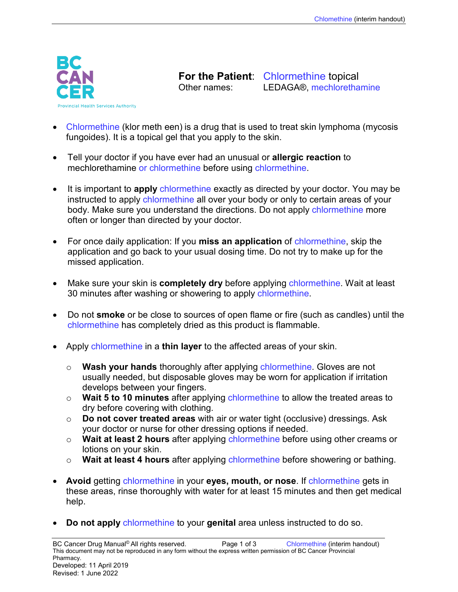

**For the Patient:** Chlormethine topical<br>Other names: LEDAGA® mechloretha LEDAGA®, mechlorethamine

- Chlormethine (klor meth een) is a drug that is used to treat skin lymphoma (mycosis fungoides). It is a topical gel that you apply to the skin.
- Tell your doctor if you have ever had an unusual or **allergic reaction** to mechlorethamine or chlormethine before using chlormethine.
- It is important to **apply** chlormethine exactly as directed by your doctor. You may be instructed to apply chlormethine all over your body or only to certain areas of your body. Make sure you understand the directions. Do not apply chlormethine more often or longer than directed by your doctor.
- For once daily application: If you **miss an application** of chlormethine, skip the application and go back to your usual dosing time. Do not try to make up for the missed application.
- Make sure your skin is **completely dry** before applying chlormethine. Wait at least 30 minutes after washing or showering to apply chlormethine.
- Do not **smoke** or be close to sources of open flame or fire (such as candles) until the chlormethine has completely dried as this product is flammable.
- Apply chlormethine in a **thin layer** to the affected areas of your skin.
	- o **Wash your hands** thoroughly after applying chlormethine. Gloves are not usually needed, but disposable gloves may be worn for application if irritation develops between your fingers.
	- o **Wait 5 to 10 minutes** after applying chlormethine to allow the treated areas to dry before covering with clothing.
	- o **Do not cover treated areas** with air or water tight (occlusive) dressings. Ask your doctor or nurse for other dressing options if needed.
	- o **Wait at least 2 hours** after applying chlormethine before using other creams or lotions on your skin.
	- o **Wait at least 4 hours** after applying chlormethine before showering or bathing.
- **Avoid** getting chlormethine in your **eyes, mouth, or nose**. If chlormethine gets in these areas, rinse thoroughly with water for at least 15 minutes and then get medical help.
- **Do not apply** chlormethine to your **genital** area unless instructed to do so.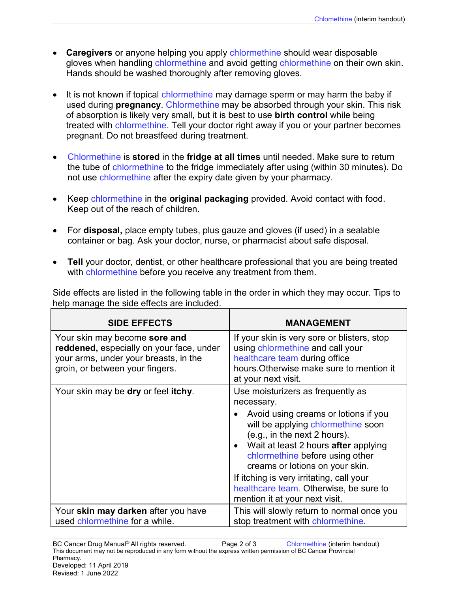- **Caregivers** or anyone helping you apply chlormethine should wear disposable gloves when handling chlormethine and avoid getting chlormethine on their own skin. Hands should be washed thoroughly after removing gloves.
- It is not known if topical chlormethine may damage sperm or may harm the baby if used during **pregnancy**. Chlormethine may be absorbed through your skin. This risk of absorption is likely very small, but it is best to use **birth control** while being treated with chlormethine. Tell your doctor right away if you or your partner becomes pregnant. Do not breastfeed during treatment.
- Chlormethine is **stored** in the **fridge at all times** until needed. Make sure to return the tube of chlormethine to the fridge immediately after using (within 30 minutes). Do not use chlormethine after the expiry date given by your pharmacy.
- Keep chlormethine in the **original packaging** provided. Avoid contact with food. Keep out of the reach of children.
- For **disposal,** place empty tubes, plus gauze and gloves (if used) in a sealable container or bag. Ask your doctor, nurse, or pharmacist about safe disposal.
- **Tell** your doctor, dentist, or other healthcare professional that you are being treated with chlormethine before you receive any treatment from them.

Side effects are listed in the following table in the order in which they may occur. Tips to help manage the side effects are included.

| <b>SIDE EFFECTS</b>                                                                                                                                   | <b>MANAGEMENT</b>                                                                                                                                                                                                                                                                                                                                                                                     |
|-------------------------------------------------------------------------------------------------------------------------------------------------------|-------------------------------------------------------------------------------------------------------------------------------------------------------------------------------------------------------------------------------------------------------------------------------------------------------------------------------------------------------------------------------------------------------|
| Your skin may become sore and<br>reddened, especially on your face, under<br>your arms, under your breasts, in the<br>groin, or between your fingers. | If your skin is very sore or blisters, stop<br>using chlormethine and call your<br>healthcare team during office<br>hours. Otherwise make sure to mention it<br>at your next visit.                                                                                                                                                                                                                   |
| Your skin may be dry or feel itchy.                                                                                                                   | Use moisturizers as frequently as<br>necessary.<br>Avoid using creams or lotions if you<br>will be applying chlormethine soon<br>(e.g., in the next 2 hours).<br>• Wait at least 2 hours after applying<br>chlormethine before using other<br>creams or lotions on your skin.<br>If itching is very irritating, call your<br>healthcare team. Otherwise, be sure to<br>mention it at your next visit. |
| Your skin may darken after you have<br>used chlormethine for a while.                                                                                 | This will slowly return to normal once you<br>stop treatment with chlormethine.                                                                                                                                                                                                                                                                                                                       |